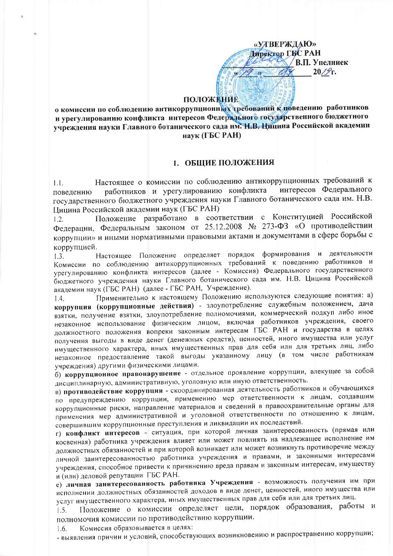«УТВЕРЖДАЮ» Директор ГБС РАН В.П. Упелниек  $20/\mathscr{T}_\Gamma$ .

### **ПОЛОЖЕНИЕ**

о комиссии по соблюдению антикоррупционных требований к поведению работников и урегулированию конфликта интересов Федерального государственного бюджетного учреждения науки Главного ботанического сада им. Н.В. Цицина Российской академии наук (ГБС РАН)

### 1. ОБЩИЕ ПОЛОЖЕНИЯ

Настоящее о комиссии по соблюдению антикоррупционных требований к  $1.1.$ работников и урегулированию конфликта интересов Федерального поведению государственного бюджетного учреждения науки Главного ботанического сада им. Н.В. Цицина Российской академии наук (ГБС РАН)

Положение разработано в соответствии с Конституцией Российской  $1.2.$ Федерации, Федеральным законом от 25.12.2008 № 273-ФЗ «О противодействии коррупции» и иными нормативными правовыми актами и документами в сфере борьбы с коррупцией.

Настоящее Положение определяет порядок формирования и деятельности  $1.3.$ Комиссии по соблюдению антикоррупционных требований к поведению работников и урегулированию конфликта интересов (далее - Комиссия) Федерального государственного бюджетного учреждения науки Главного ботанического сада им. Н.В. Цицина Российской академии наук (ГБС РАН) (далее - ГБС РАН, Учреждение).

Применительно к настоящему Положению используются следующие понятия: а)  $1.4.$ коррупция (коррупционные действия) - злоупотребление служебным положением, дача взятки, получение взятки, злоупотребление полномочиями, коммерческий подкуп либо иное незаконное использование физическим лицом, включая работников учреждения, своего должностного положения вопреки законным интересам ГБС РАН и государства в целях получения выгоды в виде денег (денежных средств), ценностей, иного имущества или услуг имущественного характера, иных имущественных прав для себя или для третьих лиц, либо незаконное предоставление такой выгоды указанному лицу (в том числе работникам учреждения) другими физическими лицами.

б) коррупционное правонарушение - отдельное проявление коррупции, влекущее за собой дисциплинарную, административную, уголовную или иную ответственность.

в) противодействие коррупции - скоординированная деятельность работников и обучающихся по предупреждению коррупции, применению мер ответственности к лицам, создавшим коррупционные риски, направление материалов и сведений в правоохранительные органы для применения мер административной и уголовной ответственности по отношению к лицам, совершившим коррупционные преступления и ликвидации их последствий.

г) конфликт интересов - ситуация, при которой личная заинтересованность (прямая или косвенная) работника учреждения влияет или может повлиять на надлежащее исполнение им должностных обязанностей и при которой возникает или может возникнуть противоречие между личной заинтересованностью работника учреждения и правами, и законными интересами учреждения, способное привести к причинению вреда правам и законным интересам, имуществу и (или) деловой репутации ГБС РАН.

е) личная заинтересованность работника Учреждения - возможность получения им при исполнении должностных обязанностей доходов в виде денег, ценностей, иного имущества или услуг имущественного характера, иных имущественных прав для себя или для третьих лиц.

Положение о комиссии определяет цели, порядок образования, работы и  $1.5.$ полномочия комиссии по противодействию коррупции.

Комиссия образовывается в целях:  $1.6.$ 

- выявления причин и условий, способствующих возникновению и распространению коррупции;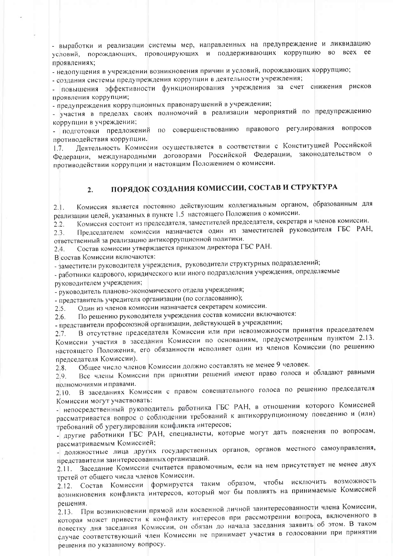- выработки и реализации системы мер, направленных на предупреждение и ликвидацию условий, порождающих, провоцирующих и поддерживающих коррупцию во всех ее проявлениях;

- недопущения в учреждении возникновения причин и условий, порождающих коррупцию;

- создания системы предупреждения коррупции в деятельности учреждения;

- повышения эффективности функционирования учреждения за счет снижения рисков проявления коррупции;

- предупреждения коррупционных правонарушений в учреждении;

частия в пределах своих полномочий в реализации мероприятий по предупреждению коррупции в учреждении;

- подготовки предложений по совершенствованию правового регулирования вопросов противодействия коррупции.

Деятельность Комиссии осуществляется в соответствии с Конституцией Российской  $1.7.$ Федерации, международными договорами Российской Федерации, законодательством о противодействии коррупции и настоящим Положением о комиссии.

### ПОРЯДОК СОЗДАНИЯ КОМИССИИ, СОСТАВ И СТРУКТУРА  $2<sup>1</sup>$

Комиссия является постоянно действующим коллегиальным органом, образованным для  $2.1.$ реализации целей, указанных в пункте 1.5 настоящего Положения о комиссии.

Комиссия состоит из председателя, заместителей председателя, секретаря и членов комиссии.  $22$ 

Председателем комиссии назначается один из заместителей руководителя ГБС РАН,  $2.3.$ ответственный за реализацию антикоррупционной политики.

Состав комиссии утверждается приказом директора ГБС РАН.  $2.4.$ 

В состав Комиссии включаются:

- заместители руководителя учреждения, руководители структурных подразделений;

- работники кадрового, юридического или иного подразделения учреждения, определяемые руководителем учреждения;

- руководитель планово-экономического отдела учреждения;

- представитель учредителя организации (по согласованию);

Один из членов комиссии назначается секретарем комиссии.  $2.5.$ 

По решению руководителя учреждения состав комиссии включаются:  $2.6.$ 

- представители профсоюзной организации, действующей в учреждении;

В отсутствие председателя Комиссии или при невозможности принятия председателем  $2.7.$ Комиссии участия в заседании Комиссии по основаниям, предусмотренным пунктом 2.13. настоящего Положения, его обязанности исполняет один из членов Комиссии (по решению председателя Комиссии).

Общее число членов Комиссии должно составлять не менее 9 человек.  $2.8.$ 

Все члены Комиссии при принятии решений имеют право голоса и обладают равными  $2.9.$ полномочиями и правами.

В заседаниях Комиссии с правом совещательного голоса по решению председателя  $2.10.$ Комиссии могут участвовать:

- непосредственный руководитель работника ГБС РАН, в отношении которого Комиссией рассматривается вопрос о соблюдении требований к антикоррупционному поведению и (или) требований об урегулировании конфликта интересов;

- другие работники ГБС РАН, специалисты, которые могут дать пояснения по вопросам, рассматриваемым Комиссией:

должностные лица других государственных органов, органов местного самоуправления, представители заинтересованных организаций.

Заседание Комиссии считается правомочным, если на нем присутствует не менее двух  $2.11.$ третей от общего числа членов Комиссии.

2.12. Состав Комиссии формируется таким образом, чтобы исключить возможность возникновения конфликта интересов, который мог бы повлиять на принимаемые Комиссией решения.

2.13. При возникновении прямой или косвенной личной заинтересованности члена Комиссии, которая может привести к конфликту интересов при рассмотрении вопроса, включенного в повестку дня заседания Комиссии, он обязан до начала заседания заявить об этом. В таком случае соответствующий член Комиссии не принимает участия в голосовании при принятии решения по указанному вопросу.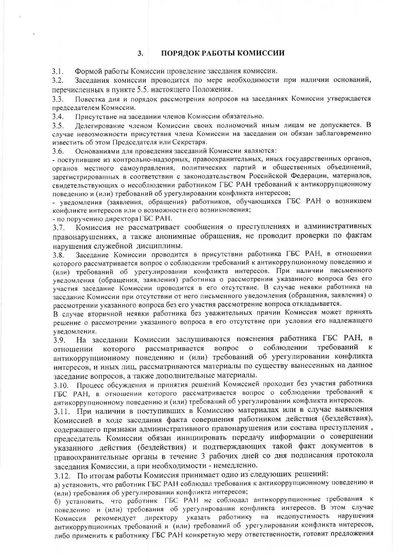#### $3.$ ПОРЯДОК РАБОТЫ КОМИССИИ

Формой работы Комиссии проведение заседания комиссии.  $3.1.$ 

Заседания комиссии проводится по мере необходимости при наличии оснований,  $3.2.$ перечисленных в пункте 5.5. настоящего Положения.

Повестка дня и порядок рассмотрения вопросов на заседаниях Комиссии утверждается  $3.3<sub>1</sub>$ председателем Комиссии.

 $3.4.$ Присутствие на заседании членов Комиссии обязательно.

Делегирование членом Комиссии своих полномочий иным лицам не допускается. В  $3.5.$ случае невозможности присутствия члена Комиссии на заседании он обязан заблаговременно известить об этом Председателя или Секретаря.

Основаниями для проведения заседаний Комиссии являются:  $3.6.$ 

- поступившие из контрольно-надзорных, правоохранительных, иных государственных органов, органов местного самоуправления, политических партий и общественных объединений, зарегистрированных в соответствии с законодательством Российской Федерации, материалов, свидетельствующих о несоблюдении работником ГБС РАН требований к антикоррупционному поведению и (или) требований об урегулировании конфликта интересов;

- уведомления (заявления, обращения) работников, обучающихся ГБС РАН о возникшем конфликте интересов или о возможности его возникновения;

- по поручению директора ГБС РАН.

Комиссия не рассматривает сообщения о преступлениях и административных  $3.7.$ правонарушениях, а также анонимные обращения, не проводит проверки по фактам нарушения служебной дисциплины.

Заседание Комиссии проводится в присутствии работника ГБС РАН, в отношении  $3.8.$ которого рассматривается вопрос о соблюдении требований к антикоррупционному поведению и (или) требований об урегулировании конфликта интересов. При наличии письменного уведомления (обращения, заявления) работника о рассмотрении указанного вопроса без его участия заседание Комиссии проводится в его отсутствие. В случае неявки работника на заседание Комиссии при отсутствии от него письменного уведомления (обращения, заявления) о рассмотрении указанного вопроса без его участия рассмотрение вопроса откладывается.

В случае вторичной неявки работника без уважительных причин Комиссия может принять решение о рассмотрении указанного вопроса в его отсутствие при условии его надлежащего уведомления.

На заседании Комиссии заслушиваются пояснения работника ГБС РАН, в  $3.9.$ вопрос о соблюдении требований рассматривается отношении которого антикоррупционному поведению и (или) требований об урегулировании конфликта интересов, и иных лиц, рассматриваются материалы по существу вынесенных на данное заседание вопросов, а также дополнительные материалы.

3.10. Процесс обсуждения и принятия решений Комиссией проходит без участия работника ГБС РАН, в отношении которого рассматривается вопрос о соблюдении требований к антикоррупционному поведению и (или) требований об урегулировании конфликта интересов.

3.11. При наличии в поступивших в Комиссию материалах или в случае выявления Комиссией в ходе заседания факта совершения работником действия (бездействия), содержащего признаки административного правонарушения или состава преступления, председатель Комиссии обязан инициировать передачу информации о совершении указанного действия (бездействия) и подтверждающих такой факт документов в правоохранительные органы в течение 3 рабочих дней со дня подписания протокола заседания Комиссии, а при необходимости - немедленно.

3.12. По итогам работы Комиссия принимает одно из следующих решений:

а) установить, что работник ГБС РАН соблюдал требования к антикоррупционному поведению и (или) требования об урегулировании конфликта интересов;

б) установить, что работник ГБС РАН не соблюдал антикоррупционные требования к поведению и (или) требования об урегулировании конфликта интересов. В этом случае Комиссия рекомендует директору указать работнику на недопустимость нарушения антикоррупционных требований и (или) требований об урегулировании конфликта интересов, либо применить к работнику ГБС РАН конкретную меру ответственности, готовит предложения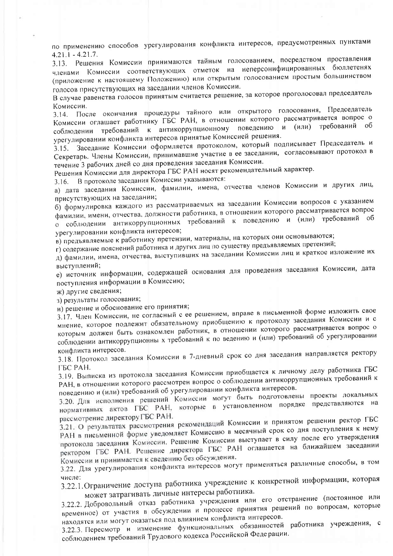по применению способов урегулирования конфликта интересов, предусмотренных пунктами  $4.21.1 - 4.21.7$ .

3.13. Решения Комиссии принимаются тайным голосованием, посредством проставления членами Комиссии соответствующих отметок на неперсонифицированных бюллетенях (приложение к настоящему Положению) или открытым голосованием простым большинством голосов присутствующих на заседании членов Комиссии.

В случае равенства голосов принятым считается решение, за которое проголосовал председатель Комиссии.

3.14. После окончания процедуры тайного или открытого голосования, Председатель Комиссии оглашает работнику ГБС РАН, в отношении которого рассматривается вопрос о соблюдении требований к антикоррупционному поведению и (или) требований об урегулировании конфликта интересов принятые Комиссией решения.

Заседание Комиссии оформляется протоколом, который подписывает Председатель и  $3.15.$ Секретарь. Члены Комиссии, принимавшие участие в ее заседании, согласовывают протокол в течение 3 рабочих дней со дня проведения заседания Комиссии.

Решения Комиссии для директора ГБС РАН носят рекомендательный характер.

В протоколе заседания Комиссии указываются:  $3.16.$ 

а) дата заседания Комиссии, фамилии, имена, отчества членов Комиссии и других лиц, присутствующих на заседании;

б) формулировка каждого из рассматриваемых на заседании Комиссии вопросов с указанием фамилии, имени, отчества, должности работника, в отношении которого рассматривается вопрос о соблюдении антикоррупционных требований к поведению и (или) требований об урегулировании конфликта интересов;

в) предъявляемые к работнику претензии, материалы, на которых они основываются;

г) содержание пояснений работника и других лиц по существу предъявляемых претензий;

д) фамилии, имена, отчества, выступивших на заседании Комиссии лиц и краткое изложение их выступлений:

е) источник информации, содержащей основания для проведения заседания Комиссии, дата поступления информации в Комиссию;

ж) другие сведения;

з) результаты голосования;

и) решение и обоснование его принятия;

3.17. Член Комиссии, не согласный с ее решением, вправе в письменной форме изложить свое мнение, которое подлежит обязательному приобщению к протоколу заседания Комиссии и с которым должен быть ознакомлен работник, в отношении которого рассматривается вопрос о соблюдении антикоррупционны х требований к по ведению и (или) требований об урегулировании конфликта интересов.

3.18. Протокол заседания Комиссии в 7-дневный срок со дня заседания направляется ректору ГБС РАН.

3.19. Выписка из протокола заседания Комиссии приобщается к личному делу работника ГБС РАН, в отношении которого рассмотрен вопрос о соблюдении антикоррупционных требований к поведению и (или) требований об урегулировании конфликта интересов.

3.20. Для исполнения решений Комиссии могут быть подготовлены проекты локальных нормативных актов ГБС РАН, которые в установленном порядке представляются на рассмотрение директору ГБС РАН.

3.21. О результатах рассмотрения рекомендаций Комиссии и принятом решении ректор ГБС РАН в письменной форме уведомляет Комиссию в месячный срок со дня поступления к нему протокола заседания Комиссии. Решение Комиссии выступает в силу после его утверждения ректором ГБС РАН. Решение директора ГБС РАН оглашается на ближайшем заседании Комиссии и принимается к сведению без обсуждения.

3.22. Для урегулирования конфликта интересов могут применяться различные способы, в том

3.22.1. Ограничение доступа работника учреждение к конкретной информации, которая может затрагивать личные интересы работника.

3.22.2. Добровольный отказ работника учреждения или его отстранение (постоянное или временное) от участия в обсуждении и процессе принятия решений по вопросам, которые находятся или могут оказаться под влиянием конфликта интересов.

3.22.3. Пересмотр и изменение функциональных обязанностей работника учреждения, с соблюдением требований Трудового кодекса Российской Федерации.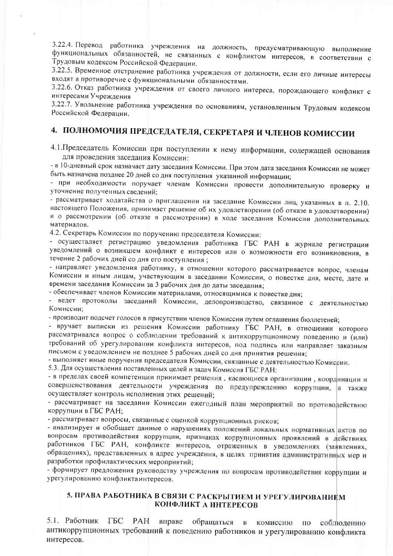3.22.4. Перевод работника учреждения на должность, предусматривающую выполнение функциональных обязанностей, не связанных с конфликтом интересов, в соответствии с Трудовым кодексом Российской Федерации.

3.22.5. Временное отстранение работника учреждения от должности, если его личные интересы входят в противоречие с функциональными обязанностями.

3.22.6. Отказ работника учреждения от своего личного интереса, порождающего конфликт с интересами Учреждения

3.22.7. Увольнение работника учреждения по основаниям, установленным Трудовым кодексом Российской Федерации.

# 4. ПОЛНОМОЧИЯ ПРЕДСЕДАТЕЛЯ, СЕКРЕТАРЯ И ЧЛЕНОВ КОМИССИИ

4.1. Председатель Комиссии при поступлении к нему информации, содержащей основания для проведения заседания Комиссии:

- в 10-дневный срок назначает дату заседания Комиссии. При этом дата заседания Комиссии не может быть назначена позднее 20 дней со дня поступления указанной информации;

- при необходимости поручает членам Комиссии провести дополнительную проверку и уточнение полученных сведений;

- рассматривает ходатайства о приглашении на заседание Комиссии лиц, указанных в п. 2.10. настоящего Положения, принимает решение об их удовлетворении (об отказе в удовлетворении) и о рассмотрении (об отказе в рассмотрении) в ходе заседания Комиссии дополнительных материалов.

4.2. Секретарь Комиссии по поручению председателя Комиссии:

- осуществляет регистрацию уведомления работника ГБС РАН в журнале регистрации уведомлений о возникшем конфликт е интересов или о возможности его возникновения, в течение 2 рабочих дней со дня его поступления;

- направляет уведомления работнику, в отношении которого рассматривается вопрос, членам Комиссии и иным лицам, участвующим в заседании Комиссии, о повестке дня, месте, дате и времени заседания Комиссии за 3 рабочих дня до даты заседания;

- обеспечивает членов Комиссии материалами, относящимися к повестке дня;

ведет протоколы заседаний Комиссии, делопроизводство, связанное с деятельностью Комиссии:

- производит подсчет голосов в присутствии членов Комиссии путем оглашения бюллетеней;

- вручает выписки из решения Комиссии работнику ГБС РАН, в отношении которого рассматривался вопрос о соблюдении требований к антикоррупционному поведению и (или) требований об урегулировании конфликта интересов, под подпись или направляет заказным письмом с уведомлением не позднее 5 рабочих дней со дня принятия решения;

- выполняет иные поручения председателя Комиссии, связанные с деятельностью Комиссии.

5.3. Для осуществления поставленных целей и задач Комиссия ГБС РАН:

- в пределах своей компетенции принимает решения, касающиеся организации, координации и совершенствования деятельности учреждения по предупреждению коррупции, а также осуществляет контроль исполнения этих решений;

- рассматривает на заседании Комиссии ежегодный план мероприятий по противодействию коррупции в ГБС РАН;

- рассматривает вопросы, связанные с оценкой коррупционных рисков;

- анализирует и обобщает данные о нарушениях положений локальных нормативных актов по вопросам противодействия коррупции, признаках коррупционных проявлений в действиях работников ГБС РАН, конфликте интересов, отраженных в уведомлениях (заявлениях, обращениях), представленных в адрес учреждения, в целях принятия административных мер и разработки профилактических мероприятий;

- формирует предложения руководству учреждения по вопросам противодействия коррупции и урегулированию конфликтаинтересов.

### 5. ПРАВА РАБОТНИКА В СВЯЗИ С РАСКРЫТИЕМ И УРЕГУЛИРОВАНИЕМ КОНФЛИКТ А ИНТЕРЕСОВ

5.1. Работник ГБС — PAH вправе обращаться в комиссию по соблюдению антикоррупционных требований к поведению работников и урегулированию конфликта интересов.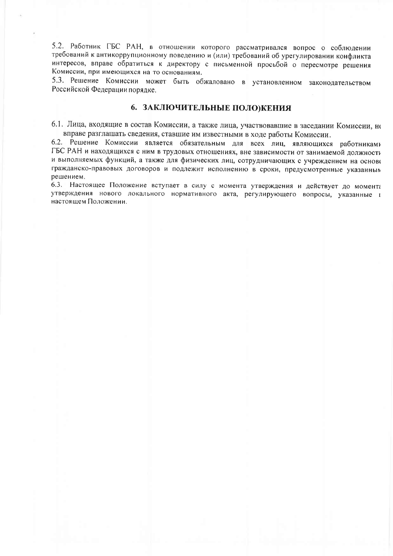5.2. Работник ГБС РАН, в отношении которого рассматривался вопрос о соблюдении требований к антикоррупционному поведению и (или) требований об урегулировании конфликта интересов, вправе обратиться к директору с письменной просьбой о пересмотре решения Комиссии, при имеющихся на то основаниям.

5.3. Решение Комиссии может быть обжаловано в установленном законодательством Российской Федерации порядке.

### 6. ЗАКЛЮЧИТЕЛЬНЫЕ ПОЛО)КЕНИЯ

6.1. Лица, входящие в состав Комиссии, а также лица, участвовавшие в заседании Комиссии, не вправе разглашать сведения, ставшие им известными в ходе работы Комиссии.

6.2. Решение Комиссии является обязательным для всех лиц, являющихся работниками ГБС РАН и находящихся с ним в трудовых отношениях, вне зависимости от занимаемой должности и выполняемых функций, а также для физических лиц, сотрудничающих с учреждением на основе гражданско-правовых договоров и подлежит исполнению в сроки, предусмотренные указанным решением.

6.3. Настоящее Положение вступает в силу с момента утверждения и действует до момента утверждения нового локального нормативного акта, регулирующего вопросы, указанные в настоящем Положении.